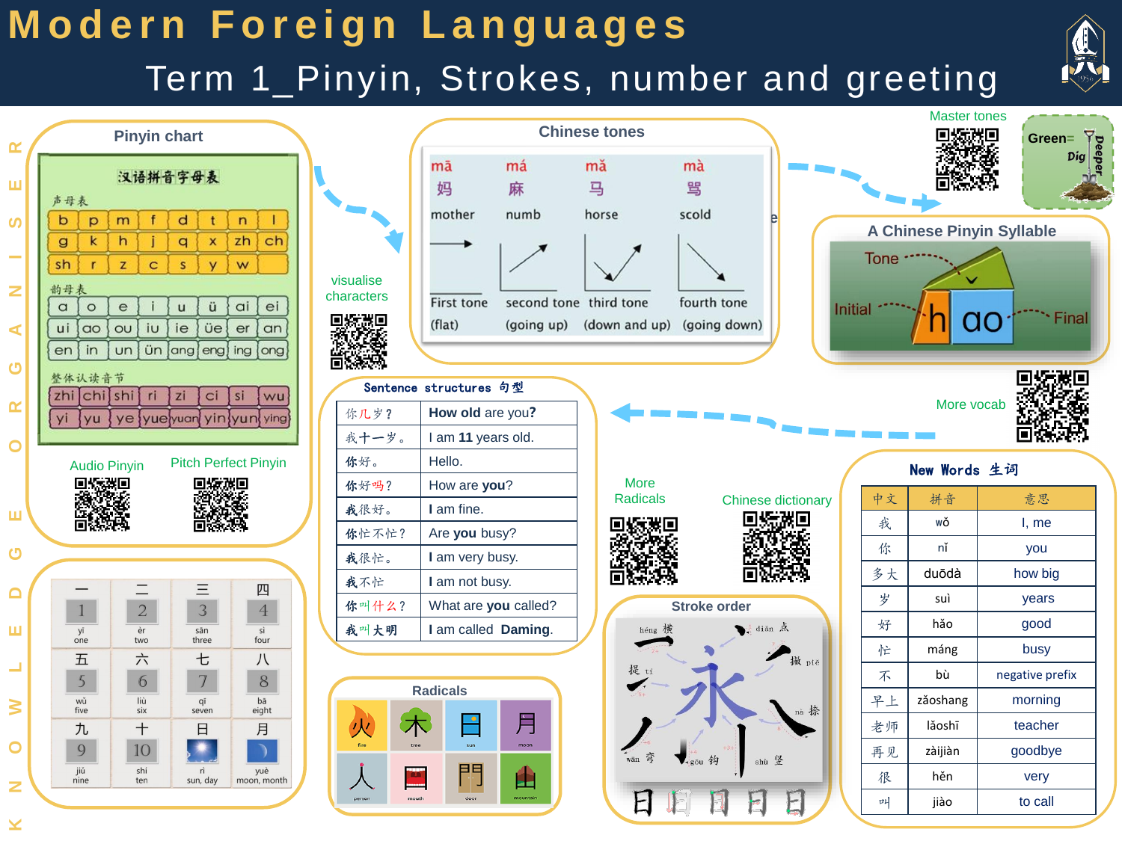## **Modern Foreign Languages**

Term 1\_Pinyin, Strokes, number and greeting